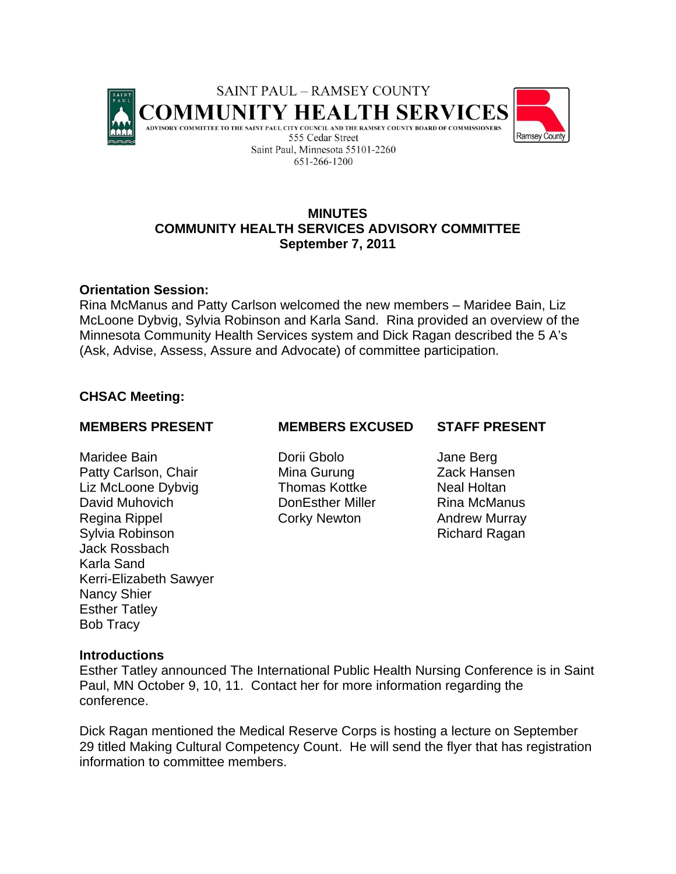

# **MINUTES COMMUNITY HEALTH SERVICES ADVISORY COMMITTEE September 7, 2011**

## **Orientation Session:**

Rina McManus and Patty Carlson welcomed the new members – Maridee Bain, Liz McLoone Dybvig, Sylvia Robinson and Karla Sand. Rina provided an overview of the Minnesota Community Health Services system and Dick Ragan described the 5 A's (Ask, Advise, Assess, Assure and Advocate) of committee participation.

# **CHSAC Meeting:**

Maridee Bain Dorii Gbolo Jane Berg Patty Carlson, Chair **Mina Gurung Cack Hansen** Liz McLoone Dybvig **Thomas Kottke** Neal Holtan David Muhovich DonEsther Miller Rina McManus Regina Rippel **Corky Newton** Andrew Murray Sylvia Robinson **Richard Ragan** Jack Rossbach Karla Sand Kerri-Elizabeth Sawyer Nancy Shier Esther Tatley Bob Tracy

## **MEMBERS PRESENT MEMBERS EXCUSED STAFF PRESENT**

# **Introductions**

Esther Tatley announced The International Public Health Nursing Conference is in Saint Paul, MN October 9, 10, 11. Contact her for more information regarding the conference.

Dick Ragan mentioned the Medical Reserve Corps is hosting a lecture on September 29 titled Making Cultural Competency Count. He will send the flyer that has registration information to committee members.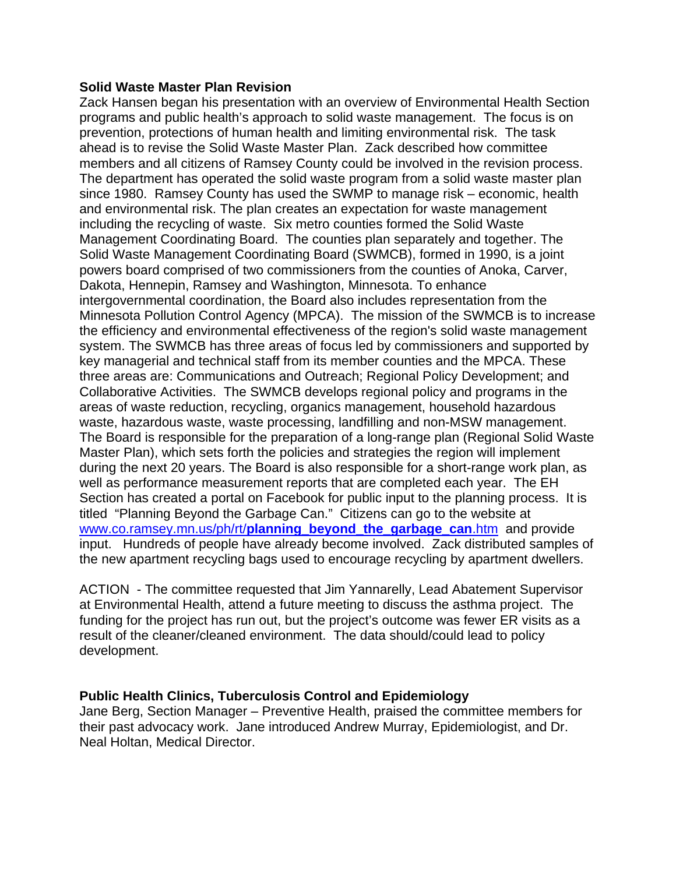## **Solid Waste Master Plan Revision**

Zack Hansen began his presentation with an overview of Environmental Health Section programs and public health's approach to solid waste management. The focus is on prevention, protections of human health and limiting environmental risk. The task ahead is to revise the Solid Waste Master Plan. Zack described how committee members and all citizens of Ramsey County could be involved in the revision process. The department has operated the solid waste program from a solid waste master plan since 1980. Ramsey County has used the SWMP to manage risk – economic, health and environmental risk. The plan creates an expectation for waste management including the recycling of waste. Six metro counties formed the Solid Waste Management Coordinating Board. The counties plan separately and together. The Solid Waste Management Coordinating Board (SWMCB), formed in 1990, is a joint powers board comprised of two commissioners from the counties of Anoka, Carver, Dakota, Hennepin, Ramsey and Washington, Minnesota. To enhance intergovernmental coordination, the Board also includes representation from the Minnesota Pollution Control Agency (MPCA). The mission of the SWMCB is to increase the efficiency and environmental effectiveness of the region's solid waste management system. The SWMCB has three areas of focus led by commissioners and supported by key managerial and technical staff from its member counties and the MPCA. These three areas are: Communications and Outreach; Regional Policy Development; and Collaborative Activities. The SWMCB develops regional policy and programs in the areas of waste reduction, recycling, organics management, household hazardous waste, hazardous waste, waste processing, landfilling and non-MSW management. The Board is responsible for the preparation of a long-range plan (Regional Solid Waste Master Plan), which sets forth the policies and strategies the region will implement during the next 20 years. The Board is also responsible for a short-range work plan, as well as performance measurement reports that are completed each year. The EH Section has created a portal on Facebook for public input to the planning process. It is titled "Planning Beyond the Garbage Can." Citizens can go to the website at www.co.ramsey.mn.us/ph/rt/**planning\_beyond\_the\_garbage\_can**.htm and provide input. Hundreds of people have already become involved. Zack distributed samples of the new apartment recycling bags used to encourage recycling by apartment dwellers.

ACTION - The committee requested that Jim Yannarelly, Lead Abatement Supervisor at Environmental Health, attend a future meeting to discuss the asthma project. The funding for the project has run out, but the project's outcome was fewer ER visits as a result of the cleaner/cleaned environment. The data should/could lead to policy development.

# **Public Health Clinics, Tuberculosis Control and Epidemiology**

Jane Berg, Section Manager – Preventive Health, praised the committee members for their past advocacy work. Jane introduced Andrew Murray, Epidemiologist, and Dr. Neal Holtan, Medical Director.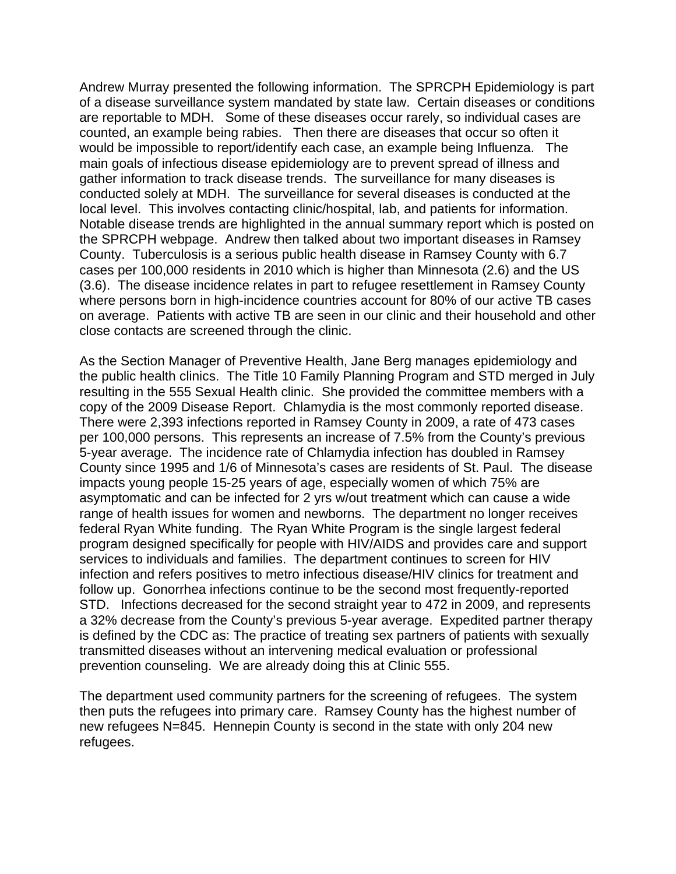Andrew Murray presented the following information. The SPRCPH Epidemiology is part of a disease surveillance system mandated by state law. Certain diseases or conditions are reportable to MDH. Some of these diseases occur rarely, so individual cases are counted, an example being rabies. Then there are diseases that occur so often it would be impossible to report/identify each case, an example being Influenza. The main goals of infectious disease epidemiology are to prevent spread of illness and gather information to track disease trends. The surveillance for many diseases is conducted solely at MDH. The surveillance for several diseases is conducted at the local level. This involves contacting clinic/hospital, lab, and patients for information. Notable disease trends are highlighted in the annual summary report which is posted on the SPRCPH webpage. Andrew then talked about two important diseases in Ramsey County. Tuberculosis is a serious public health disease in Ramsey County with 6.7 cases per 100,000 residents in 2010 which is higher than Minnesota (2.6) and the US (3.6). The disease incidence relates in part to refugee resettlement in Ramsey County where persons born in high-incidence countries account for 80% of our active TB cases on average. Patients with active TB are seen in our clinic and their household and other close contacts are screened through the clinic.

As the Section Manager of Preventive Health, Jane Berg manages epidemiology and the public health clinics. The Title 10 Family Planning Program and STD merged in July resulting in the 555 Sexual Health clinic. She provided the committee members with a copy of the 2009 Disease Report. Chlamydia is the most commonly reported disease. There were 2,393 infections reported in Ramsey County in 2009, a rate of 473 cases per 100,000 persons. This represents an increase of 7.5% from the County's previous 5-year average. The incidence rate of Chlamydia infection has doubled in Ramsey County since 1995 and 1/6 of Minnesota's cases are residents of St. Paul. The disease impacts young people 15-25 years of age, especially women of which 75% are asymptomatic and can be infected for 2 yrs w/out treatment which can cause a wide range of health issues for women and newborns. The department no longer receives federal Ryan White funding. The Ryan White Program is the single largest federal program designed specifically for people with HIV/AIDS and provides care and support services to individuals and families. The department continues to screen for HIV infection and refers positives to metro infectious disease/HIV clinics for treatment and follow up. Gonorrhea infections continue to be the second most frequently-reported STD. Infections decreased for the second straight year to 472 in 2009, and represents a 32% decrease from the County's previous 5-year average. Expedited partner therapy is defined by the CDC as: The practice of treating sex partners of patients with sexually transmitted diseases without an intervening medical evaluation or professional prevention counseling. We are already doing this at Clinic 555.

The department used community partners for the screening of refugees. The system then puts the refugees into primary care. Ramsey County has the highest number of new refugees N=845. Hennepin County is second in the state with only 204 new refugees.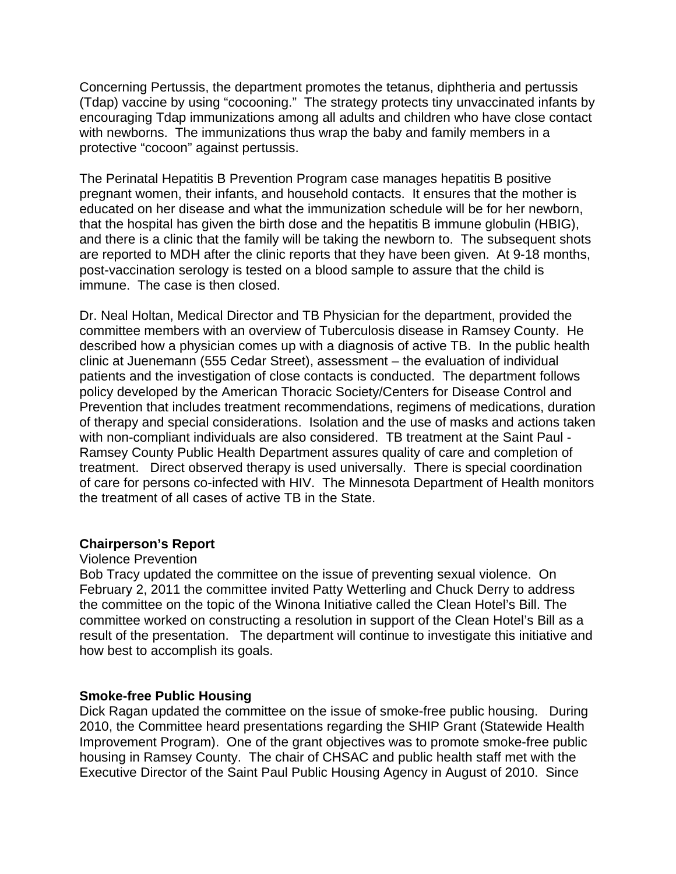Concerning Pertussis, the department promotes the tetanus, diphtheria and pertussis (Tdap) vaccine by using "cocooning." The strategy protects tiny unvaccinated infants by encouraging Tdap immunizations among all adults and children who have close contact with newborns. The immunizations thus wrap the baby and family members in a protective "cocoon" against pertussis.

The Perinatal Hepatitis B Prevention Program case manages hepatitis B positive pregnant women, their infants, and household contacts. It ensures that the mother is educated on her disease and what the immunization schedule will be for her newborn, that the hospital has given the birth dose and the hepatitis B immune globulin (HBIG), and there is a clinic that the family will be taking the newborn to. The subsequent shots are reported to MDH after the clinic reports that they have been given. At 9-18 months, post-vaccination serology is tested on a blood sample to assure that the child is immune. The case is then closed.

Dr. Neal Holtan, Medical Director and TB Physician for the department, provided the committee members with an overview of Tuberculosis disease in Ramsey County. He described how a physician comes up with a diagnosis of active TB. In the public health clinic at Juenemann (555 Cedar Street), assessment – the evaluation of individual patients and the investigation of close contacts is conducted. The department follows policy developed by the American Thoracic Society/Centers for Disease Control and Prevention that includes treatment recommendations, regimens of medications, duration of therapy and special considerations. Isolation and the use of masks and actions taken with non-compliant individuals are also considered. TB treatment at the Saint Paul - Ramsey County Public Health Department assures quality of care and completion of treatment. Direct observed therapy is used universally. There is special coordination of care for persons co-infected with HIV. The Minnesota Department of Health monitors the treatment of all cases of active TB in the State.

### **Chairperson's Report**

### Violence Prevention

Bob Tracy updated the committee on the issue of preventing sexual violence. On February 2, 2011 the committee invited Patty Wetterling and Chuck Derry to address the committee on the topic of the Winona Initiative called the Clean Hotel's Bill. The committee worked on constructing a resolution in support of the Clean Hotel's Bill as a result of the presentation. The department will continue to investigate this initiative and how best to accomplish its goals.

### **Smoke-free Public Housing**

Dick Ragan updated the committee on the issue of smoke-free public housing. During 2010, the Committee heard presentations regarding the SHIP Grant (Statewide Health Improvement Program). One of the grant objectives was to promote smoke-free public housing in Ramsey County. The chair of CHSAC and public health staff met with the Executive Director of the Saint Paul Public Housing Agency in August of 2010. Since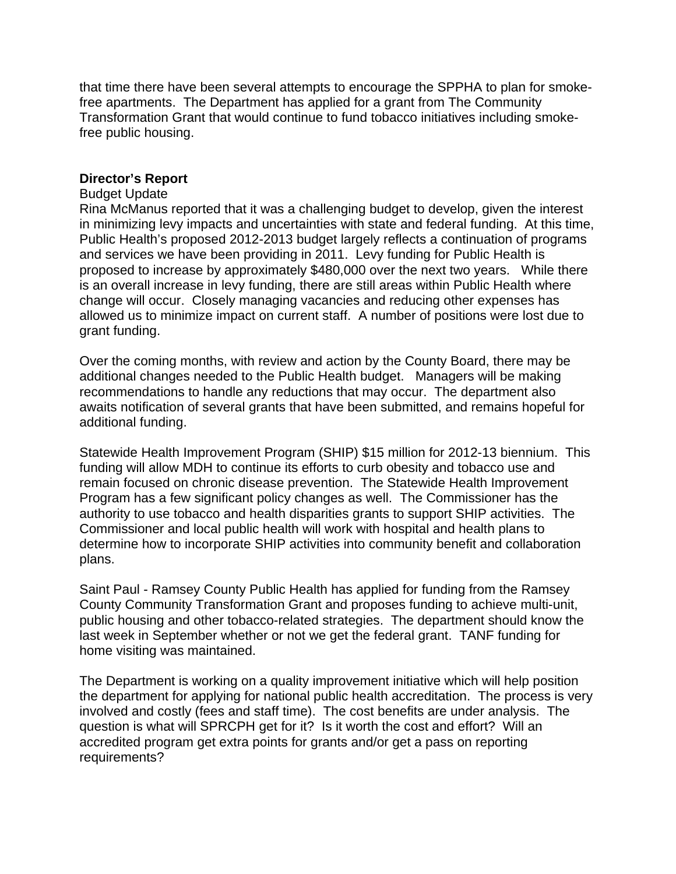that time there have been several attempts to encourage the SPPHA to plan for smokefree apartments. The Department has applied for a grant from The Community Transformation Grant that would continue to fund tobacco initiatives including smokefree public housing.

## **Director's Report**

### Budget Update

Rina McManus reported that it was a challenging budget to develop, given the interest in minimizing levy impacts and uncertainties with state and federal funding. At this time, Public Health's proposed 2012-2013 budget largely reflects a continuation of programs and services we have been providing in 2011. Levy funding for Public Health is proposed to increase by approximately \$480,000 over the next two years. While there is an overall increase in levy funding, there are still areas within Public Health where change will occur. Closely managing vacancies and reducing other expenses has allowed us to minimize impact on current staff. A number of positions were lost due to grant funding.

Over the coming months, with review and action by the County Board, there may be additional changes needed to the Public Health budget. Managers will be making recommendations to handle any reductions that may occur. The department also awaits notification of several grants that have been submitted, and remains hopeful for additional funding.

Statewide Health Improvement Program (SHIP) \$15 million for 2012-13 biennium. This funding will allow MDH to continue its efforts to curb obesity and tobacco use and remain focused on chronic disease prevention. The Statewide Health Improvement Program has a few significant policy changes as well. The Commissioner has the authority to use tobacco and health disparities grants to support SHIP activities. The Commissioner and local public health will work with hospital and health plans to determine how to incorporate SHIP activities into community benefit and collaboration plans.

Saint Paul - Ramsey County Public Health has applied for funding from the Ramsey County Community Transformation Grant and proposes funding to achieve multi-unit, public housing and other tobacco-related strategies. The department should know the last week in September whether or not we get the federal grant. TANF funding for home visiting was maintained.

The Department is working on a quality improvement initiative which will help position the department for applying for national public health accreditation. The process is very involved and costly (fees and staff time). The cost benefits are under analysis. The question is what will SPRCPH get for it? Is it worth the cost and effort? Will an accredited program get extra points for grants and/or get a pass on reporting requirements?